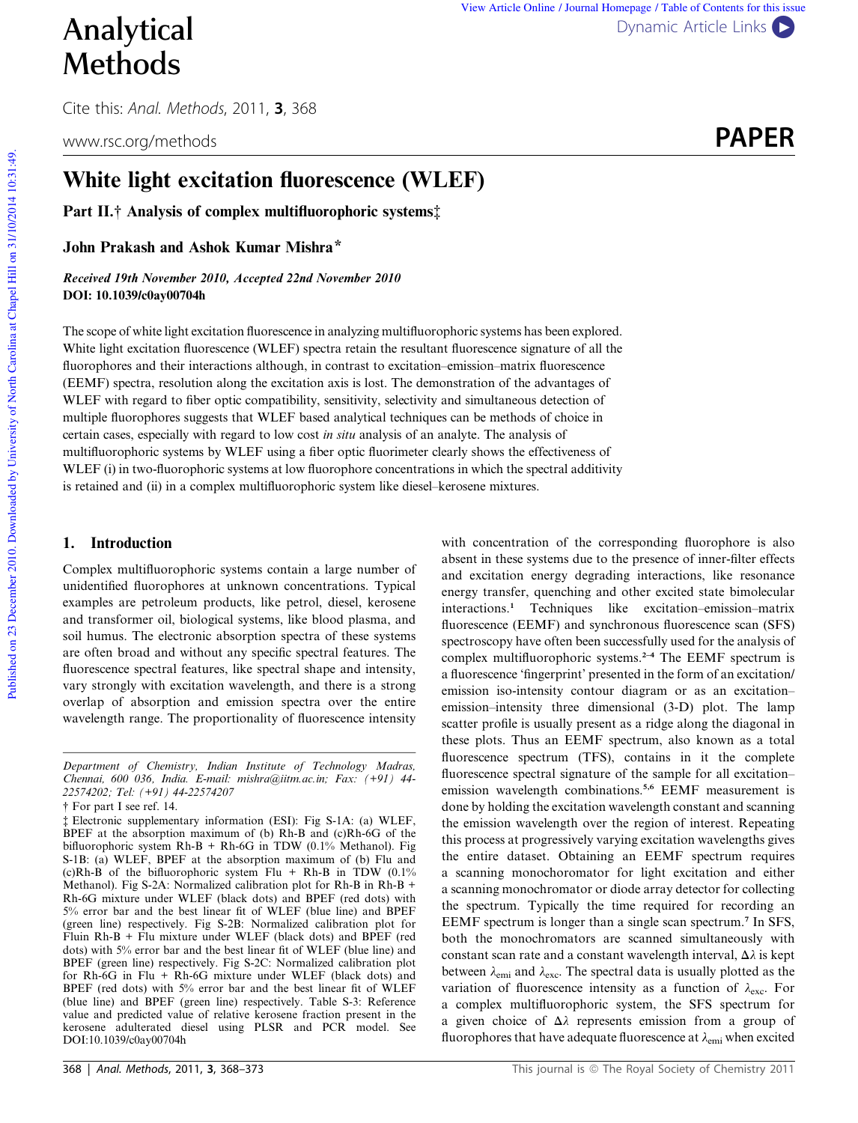# Methods

Cite this: Anal. Methods, 2011, 3, 368

# White light excitation fluorescence (WLEF)

Part II.† Analysis of complex multifluorophoric systems‡

John Prakash and Ashok Kumar Mishra\*

Received 19th November 2010, Accepted 22nd November 2010 DOI: 10.1039/c0ay00704h

The scope of white light excitation fluorescence in analyzing multifluorophoric systems has been explored. White light excitation fluorescence (WLEF) spectra retain the resultant fluorescence signature of all the fluorophores and their interactions although, in contrast to excitation–emission–matrix fluorescence (EEMF) spectra, resolution along the excitation axis is lost. The demonstration of the advantages of WLEF with regard to fiber optic compatibility, sensitivity, selectivity and simultaneous detection of multiple fluorophores suggests that WLEF based analytical techniques can be methods of choice in certain cases, especially with regard to low cost *in situ* analysis of an analyte. The analysis of multifluorophoric systems by WLEF using a fiber optic fluorimeter clearly shows the effectiveness of WLEF (i) in two-fluorophoric systems at low fluorophore concentrations in which the spectral additivity is retained and (ii) in a complex multifluorophoric system like diesel–kerosene mixtures.

#### 1. Introduction

Complex multifluorophoric systems contain a large number of unidentified fluorophores at unknown concentrations. Typical examples are petroleum products, like petrol, diesel, kerosene and transformer oil, biological systems, like blood plasma, and soil humus. The electronic absorption spectra of these systems are often broad and without any specific spectral features. The fluorescence spectral features, like spectral shape and intensity, vary strongly with excitation wavelength, and there is a strong overlap of absorption and emission spectra over the entire wavelength range. The proportionality of fluorescence intensity

with concentration of the corresponding fluorophore is also absent in these systems due to the presence of inner-filter effects and excitation energy degrading interactions, like resonance energy transfer, quenching and other excited state bimolecular interactions.<sup>1</sup> Techniques like excitation–emission–matrix fluorescence (EEMF) and synchronous fluorescence scan (SFS) spectroscopy have often been successfully used for the analysis of complex multifluorophoric systems.<sup>2-4</sup> The EEMF spectrum is a fluorescence 'fingerprint' presented in the form of an excitation/ emission iso-intensity contour diagram or as an excitation– emission–intensity three dimensional (3-D) plot. The lamp scatter profile is usually present as a ridge along the diagonal in these plots. Thus an EEMF spectrum, also known as a total fluorescence spectrum (TFS), contains in it the complete fluorescence spectral signature of the sample for all excitation– emission wavelength combinations.5,6 EEMF measurement is done by holding the excitation wavelength constant and scanning the emission wavelength over the region of interest. Repeating this process at progressively varying excitation wavelengths gives the entire dataset. Obtaining an EEMF spectrum requires a scanning monochoromator for light excitation and either a scanning monochromator or diode array detector for collecting the spectrum. Typically the time required for recording an EEMF spectrum is longer than a single scan spectrum.<sup>7</sup> In SFS, both the monochromators are scanned simultaneously with constant scan rate and a constant wavelength interval,  $\Delta \lambda$  is kept between  $\lambda_{\text{emi}}$  and  $\lambda_{\text{exc}}$ . The spectral data is usually plotted as the variation of fluorescence intensity as a function of  $\lambda_{\text{exc}}$ . For a complex multifluorophoric system, the SFS spectrum for a given choice of  $\Delta\lambda$  represents emission from a group of fluorophores that have adequate fluorescence at  $\lambda_{\text{emi}}$  when excited

Published on 23 December 2010. Downloaded by University of North Carolina at Chapel Hill on 31/10/2014 10:31:49.

Published on 23 December 2010. Downloaded by University of North Carolina at Chapel Hill on 31/10/2014 10:31:49.



*Department of Chemistry, Indian Institute of Technology Madras, Chennai, 600 036, India. E-mail: mishra@iitm.ac.in; Fax: (+91) 44- 22574202; Tel: (+91) 44-22574207*

<sup>†</sup> For part I see ref. 14.

<sup>‡</sup> Electronic supplementary information (ESI): Fig S-1A: (a) WLEF, BPEF at the absorption maximum of (b) Rh-B and (c)Rh-6G of the bifluorophoric system Rh-B + Rh-6G in TDW (0.1% Methanol). Fig S-1B: (a) WLEF, BPEF at the absorption maximum of (b) Flu and (c)Rh-B of the bifluorophoric system Flu + Rh-B in TDW (0.1% Methanol). Fig S-2A: Normalized calibration plot for Rh-B in Rh-B + Rh-6G mixture under WLEF (black dots) and BPEF (red dots) with 5% error bar and the best linear fit of WLEF (blue line) and BPEF (green line) respectively. Fig S-2B: Normalized calibration plot for Fluin Rh-B + Flu mixture under WLEF (black dots) and BPEF (red dots) with 5% error bar and the best linear fit of WLEF (blue line) and BPEF (green line) respectively. Fig S-2C: Normalized calibration plot for Rh-6G in Flu + Rh-6G mixture under WLEF (black dots) and BPEF (red dots) with 5% error bar and the best linear fit of WLEF (blue line) and BPEF (green line) respectively. Table S-3: Reference value and predicted value of relative kerosene fraction present in the kerosene adulterated diesel using PLSR and PCR model. See DOI:10.1039/c0ay00704h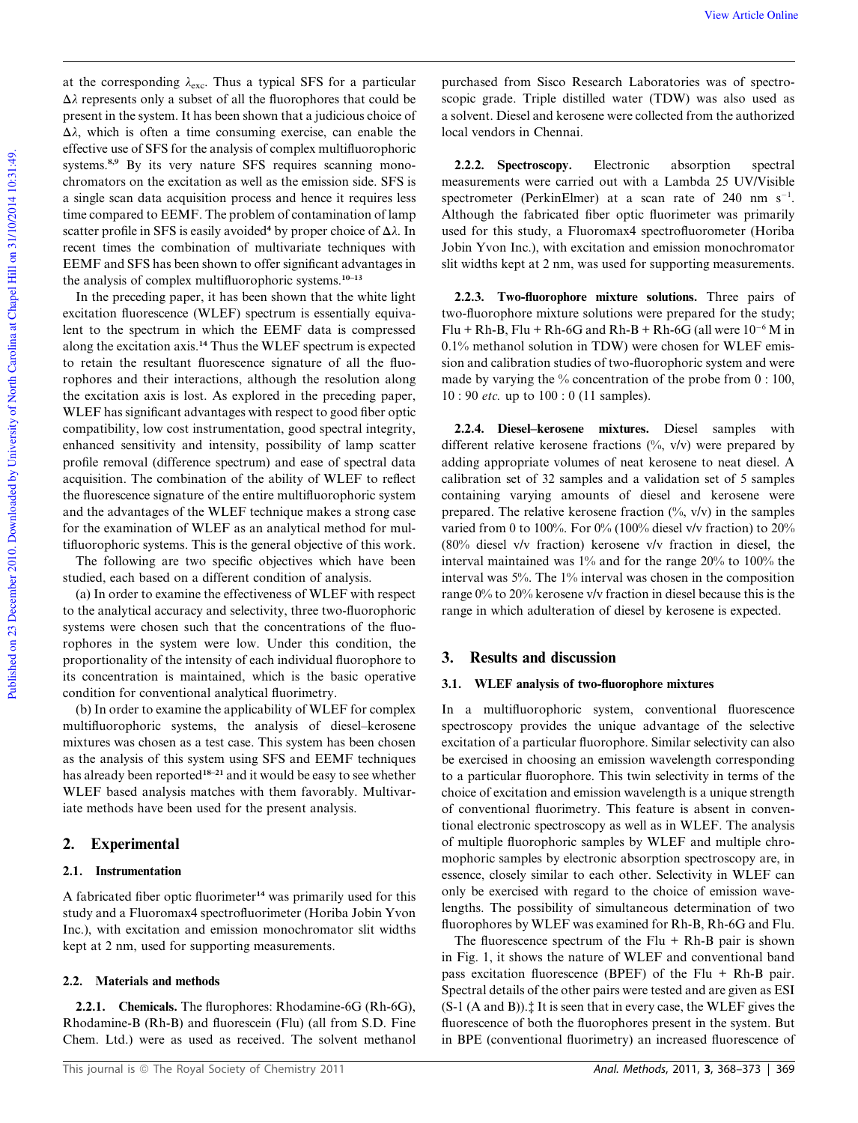at the corresponding  $\lambda_{\text{exc}}$ . Thus a typical SFS for a particular  $\Delta\lambda$  represents only a subset of all the fluorophores that could be present in the system. It has been shown that a judicious choice of  $\Delta\lambda$ , which is often a time consuming exercise, can enable the effective use of SFS for the analysis of complex multifluorophoric systems.<sup>8,9</sup> By its very nature SFS requires scanning monochromators on the excitation as well as the emission side. SFS is a single scan data acquisition process and hence it requires less time compared to EEMF. The problem of contamination of lamp scatter profile in SFS is easily avoided<sup>4</sup> by proper choice of  $\Delta \lambda$ . In recent times the combination of multivariate techniques with EEMF and SFS has been shown to offer significant advantages in the analysis of complex multifluorophoric systems.<sup>10-13</sup>

In the preceding paper, it has been shown that the white light excitation fluorescence (WLEF) spectrum is essentially equivalent to the spectrum in which the EEMF data is compressed along the excitation axis.<sup>14</sup> Thus the WLEF spectrum is expected to retain the resultant fluorescence signature of all the fluorophores and their interactions, although the resolution along the excitation axis is lost. As explored in the preceding paper, WLEF has significant advantages with respect to good fiber optic compatibility, low cost instrumentation, good spectral integrity, enhanced sensitivity and intensity, possibility of lamp scatter profile removal (difference spectrum) and ease of spectral data acquisition. The combination of the ability of WLEF to reflect the fluorescence signature of the entire multifluorophoric system and the advantages of the WLEF technique makes a strong case for the examination of WLEF as an analytical method for multifluorophoric systems. This is the general objective of this work.

The following are two specific objectives which have been studied, each based on a different condition of analysis.

(a) In order to examine the effectiveness of WLEF with respect to the analytical accuracy and selectivity, three two-fluorophoric systems were chosen such that the concentrations of the fluorophores in the system were low. Under this condition, the proportionality of the intensity of each individual fluorophore to its concentration is maintained, which is the basic operative condition for conventional analytical fluorimetry.

(b) In order to examine the applicability of WLEF for complex multifluorophoric systems, the analysis of diesel–kerosene mixtures was chosen as a test case. This system has been chosen as the analysis of this system using SFS and EEMF techniques has already been reported<sup>18-21</sup> and it would be easy to see whether WLEF based analysis matches with them favorably. Multivariate methods have been used for the present analysis.

#### 2. Experimental

#### 2.1. Instrumentation

A fabricated fiber optic fluorimeter<sup>14</sup> was primarily used for this study and a Fluoromax4 spectrofluorimeter (Horiba Jobin Yvon Inc.), with excitation and emission monochromator slit widths kept at 2 nm, used for supporting measurements.

#### 2.2. Materials and methods

2.2.1. Chemicals. The flurophores: Rhodamine-6G (Rh-6G), Rhodamine-B (Rh-B) and fluorescein (Flu) (all from S.D. Fine Chem. Ltd.) were as used as received. The solvent methanol

purchased from Sisco Research Laboratories was of spectroscopic grade. Triple distilled water (TDW) was also used as a solvent. Diesel and kerosene were collected from the authorized local vendors in Chennai.

2.2.2. Spectroscopy. Electronic absorption spectral measurements were carried out with a Lambda 25 UV/Visible spectrometer (PerkinElmer) at a scan rate of 240 nm  $s^{-1}$ . Although the fabricated fiber optic fluorimeter was primarily used for this study, a Fluoromax4 spectrofluorometer (Horiba Jobin Yvon Inc.), with excitation and emission monochromator slit widths kept at 2 nm, was used for supporting measurements.

2.2.3. Two-fluorophore mixture solutions. Three pairs of two-fluorophore mixture solutions were prepared for the study; Flu + Rh-B, Flu + Rh-6G and Rh-B + Rh-6G (all were  $10^{-6}$  M in 0.1% methanol solution in TDW) were chosen for WLEF emission and calibration studies of two-fluorophoric system and were made by varying the % concentration of the probe from  $0:100$ , 10 : 90 *etc.* up to 100 : 0 (11 samples).

2.2.4. Diesel–kerosene mixtures. Diesel samples with different relative kerosene fractions (%, v/v) were prepared by adding appropriate volumes of neat kerosene to neat diesel. A calibration set of 32 samples and a validation set of 5 samples containing varying amounts of diesel and kerosene were prepared. The relative kerosene fraction  $(\%$ ,  $v/v)$  in the samples varied from 0 to 100%. For 0% (100% diesel v/v fraction) to 20% (80% diesel v/v fraction) kerosene v/v fraction in diesel, the interval maintained was 1% and for the range 20% to 100% the interval was 5%. The 1% interval was chosen in the composition range 0% to 20% kerosene v/v fraction in diesel because this is the range in which adulteration of diesel by kerosene is expected.

#### 3. Results and discussion

#### 3.1. WLEF analysis of two-fluorophore mixtures

In a multifluorophoric system, conventional fluorescence spectroscopy provides the unique advantage of the selective excitation of a particular fluorophore. Similar selectivity can also be exercised in choosing an emission wavelength corresponding to a particular fluorophore. This twin selectivity in terms of the choice of excitation and emission wavelength is a unique strength of conventional fluorimetry. This feature is absent in conventional electronic spectroscopy as well as in WLEF. The analysis of multiple fluorophoric samples by WLEF and multiple chromophoric samples by electronic absorption spectroscopy are, in essence, closely similar to each other. Selectivity in WLEF can only be exercised with regard to the choice of emission wavelengths. The possibility of simultaneous determination of two fluorophores by WLEF was examined for Rh-B, Rh-6G and Flu.

The fluorescence spectrum of the Flu  $+$  Rh-B pair is shown in Fig. 1, it shows the nature of WLEF and conventional band pass excitation fluorescence (BPEF) of the Flu + Rh-B pair. Spectral details of the other pairs were tested and are given as ESI (S-1 (A and B)).‡ It is seen that in every case, the WLEF gives the fluorescence of both the fluorophores present in the system. But in BPE (conventional fluorimetry) an increased fluorescence of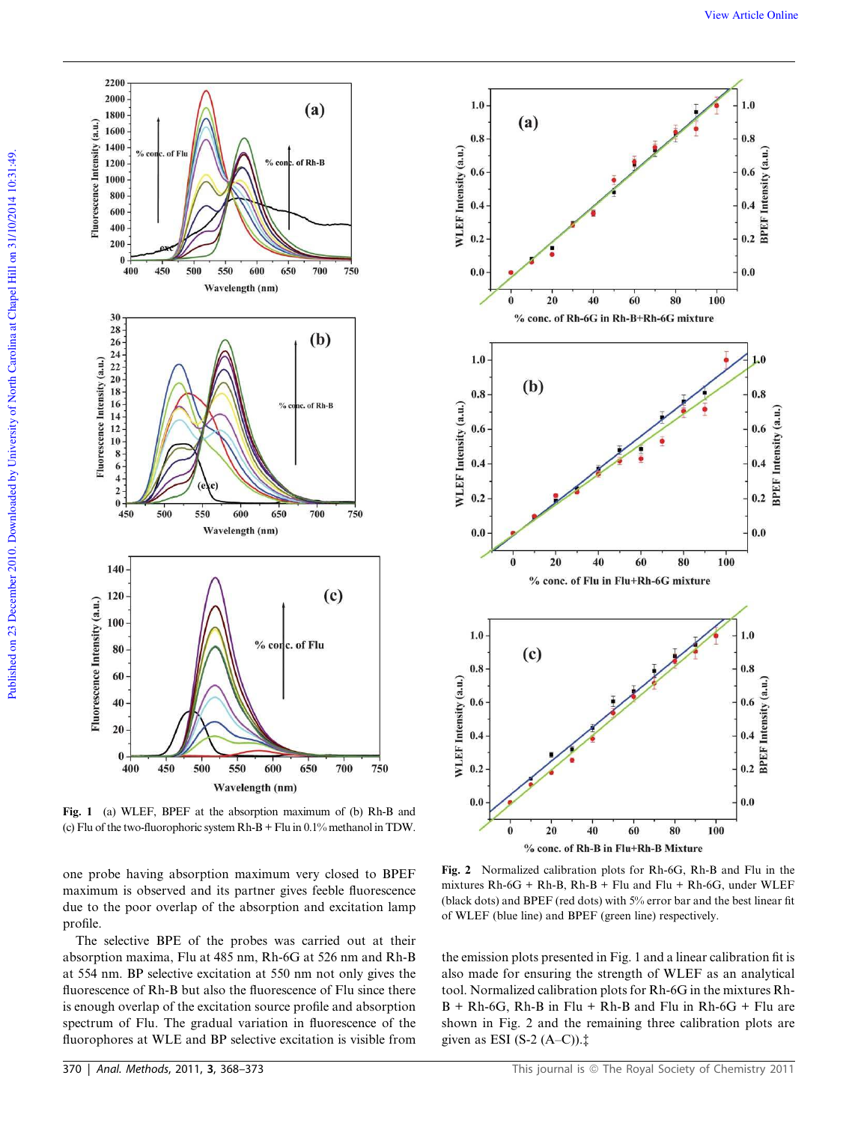

Fig. 1 (a) WLEF, BPEF at the absorption maximum of (b) Rh-B and (c) Flu of the two-fluorophoric system Rh-B + Flu in 0.1% methanol in TDW.

one probe having absorption maximum very closed to BPEF maximum is observed and its partner gives feeble fluorescence due to the poor overlap of the absorption and excitation lamp profile.

The selective BPE of the probes was carried out at their absorption maxima, Flu at 485 nm, Rh-6G at 526 nm and Rh-B at 554 nm. BP selective excitation at 550 nm not only gives the fluorescence of Rh-B but also the fluorescence of Flu since there is enough overlap of the excitation source profile and absorption spectrum of Flu. The gradual variation in fluorescence of the fluorophores at WLE and BP selective excitation is visible from



Fig. 2 Normalized calibration plots for Rh-6G, Rh-B and Flu in the mixtures Rh-6G + Rh-B, Rh-B + Flu and Flu + Rh-6G, under WLEF (black dots) and BPEF (red dots) with 5% error bar and the best linear fit of WLEF (blue line) and BPEF (green line) respectively.

the emission plots presented in Fig. 1 and a linear calibration fit is also made for ensuring the strength of WLEF as an analytical tool. Normalized calibration plots for Rh-6G in the mixtures Rh- $B + Rh-6G$ , Rh-B in Flu + Rh-B and Flu in Rh-6G + Flu are shown in Fig. 2 and the remaining three calibration plots are given as ESI (S-2  $(A-C)$ ). $\ddagger$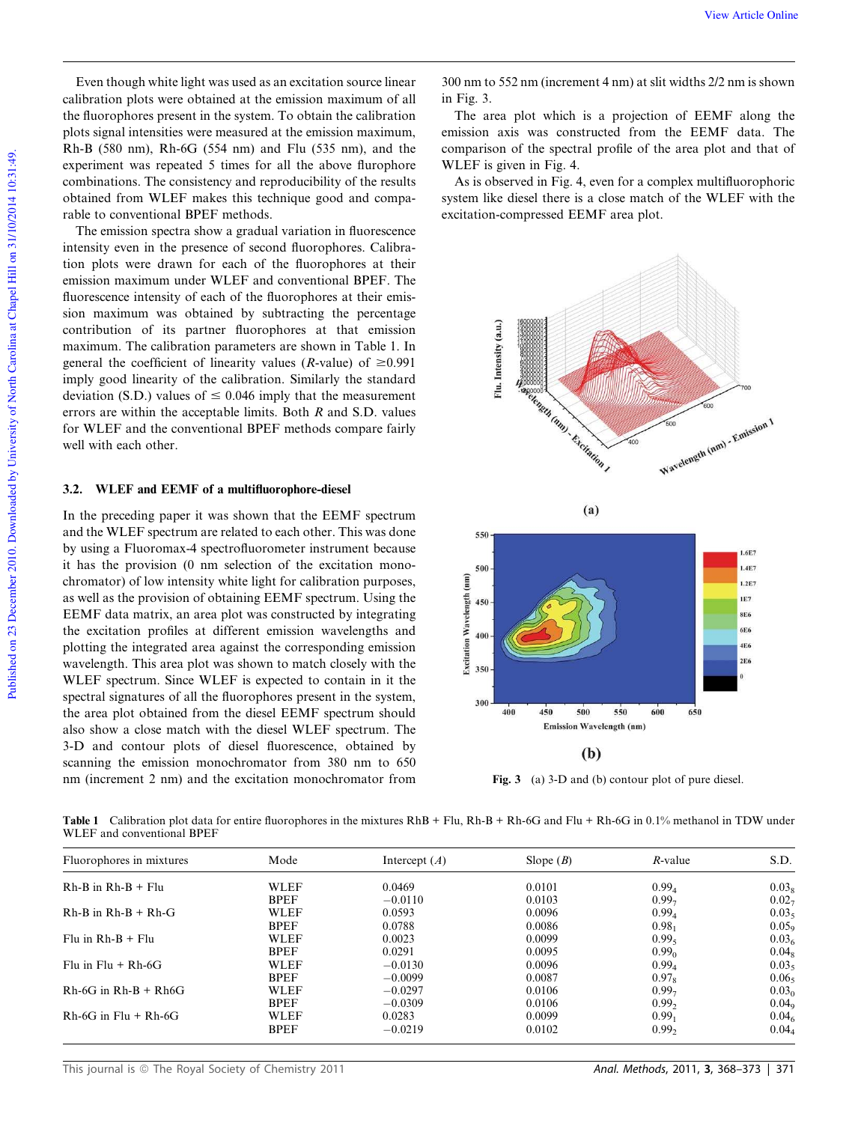Even though white light was used as an excitation source linear calibration plots were obtained at the emission maximum of all the fluorophores present in the system. To obtain the calibration plots signal intensities were measured at the emission maximum, Rh-B (580 nm), Rh-6G (554 nm) and Flu (535 nm), and the experiment was repeated 5 times for all the above flurophore combinations. The consistency and reproducibility of the results obtained from WLEF makes this technique good and comparable to conventional BPEF methods.

The emission spectra show a gradual variation in fluorescence intensity even in the presence of second fluorophores. Calibration plots were drawn for each of the fluorophores at their emission maximum under WLEF and conventional BPEF. The fluorescence intensity of each of the fluorophores at their emission maximum was obtained by subtracting the percentage contribution of its partner fluorophores at that emission maximum. The calibration parameters are shown in Table 1. In general the coefficient of linearity values (*R*-value) of  $\geq 0.991$ imply good linearity of the calibration. Similarly the standard deviation (S.D.) values of  $\leq 0.046$  imply that the measurement errors are within the acceptable limits. Both *R* and S.D. values for WLEF and the conventional BPEF methods compare fairly well with each other.

#### 3.2. WLEF and EEMF of a multifluorophore-diesel

In the preceding paper it was shown that the EEMF spectrum and the WLEF spectrum are related to each other. This was done by using a Fluoromax-4 spectrofluorometer instrument because it has the provision (0 nm selection of the excitation monochromator) of low intensity white light for calibration purposes, as well as the provision of obtaining EEMF spectrum. Using the EEMF data matrix, an area plot was constructed by integrating the excitation profiles at different emission wavelengths and plotting the integrated area against the corresponding emission wavelength. This area plot was shown to match closely with the WLEF spectrum. Since WLEF is expected to contain in it the spectral signatures of all the fluorophores present in the system, the area plot obtained from the diesel EEMF spectrum should also show a close match with the diesel WLEF spectrum. The 3-D and contour plots of diesel fluorescence, obtained by scanning the emission monochromator from 380 nm to 650 nm (increment 2 nm) and the excitation monochromator from

300 nm to 552 nm (increment 4 nm) at slit widths 2/2 nm is shown in Fig. 3.

The area plot which is a projection of EEMF along the emission axis was constructed from the EEMF data. The comparison of the spectral profile of the area plot and that of WLEF is given in Fig. 4.

As is observed in Fig. 4, even for a complex multifluorophoric system like diesel there is a close match of the WLEF with the excitation-compressed EEMF area plot.



Fig. 3 (a) 3-D and (b) contour plot of pure diesel.

Table 1 Calibration plot data for entire fluorophores in the mixtures RhB + Flu, Rh-B + Rh-6G and Flu + Rh-6G in 0.1% methanol in TDW under WLEF and conventional BPEF

| Fluorophores in mixtures | Mode        | Intercept $(A)$ | Slope $(B)$ | $R$ -value        | S.D.              |
|--------------------------|-------------|-----------------|-------------|-------------------|-------------------|
| $Rh-B$ in $Rh-B + Flu$   | <b>WLEF</b> | 0.0469          | 0.0101      | $0.99_4$          | 0.03              |
|                          | <b>BPEF</b> | $-0.0110$       | 0.0103      | 0.997             | 0.02              |
| $Rh-B$ in $Rh-B + Rh-G$  | WLEF        | 0.0593          | 0.0096      | $0.99_4$          | 0.034             |
|                          | <b>BPEF</b> | 0.0788          | 0.0086      | $0.98_1$          | 0.05c             |
| $Flu$ in $Rh-B + Flu$    | <b>WLEF</b> | 0.0023          | 0.0099      | 0.99 <sub>5</sub> | 0.03 <sub>6</sub> |
|                          | <b>BPEF</b> | 0.0291          | 0.0095      | 0.99 <sub>0</sub> | 0.04              |
| Flu in $Flu + Rh-6G$     | <b>WLEF</b> | $-0.0130$       | 0.0096      | $0.99_{4}$        | 0.034             |
|                          | <b>BPEF</b> | $-0.0099$       | 0.0087      | $0.97_s$          | 0.06              |
| $Rh-6G$ in $Rh-B + Rh6G$ | <b>WLEF</b> | $-0.0297$       | 0.0106      | 0.99 <sub>7</sub> | 0.03 <sub>0</sub> |
|                          | <b>BPEF</b> | $-0.0309$       | 0.0106      | 0.99 <sub>2</sub> | 0.04c             |
| $Rh-6G$ in $Flu + Rh-6G$ | <b>WLEF</b> | 0.0283          | 0.0099      | $0.99_1$          | $0.04_{\ell}$     |
|                          | <b>BPEF</b> | $-0.0219$       | 0.0102      | 0.99 <sub>2</sub> | 0.04              |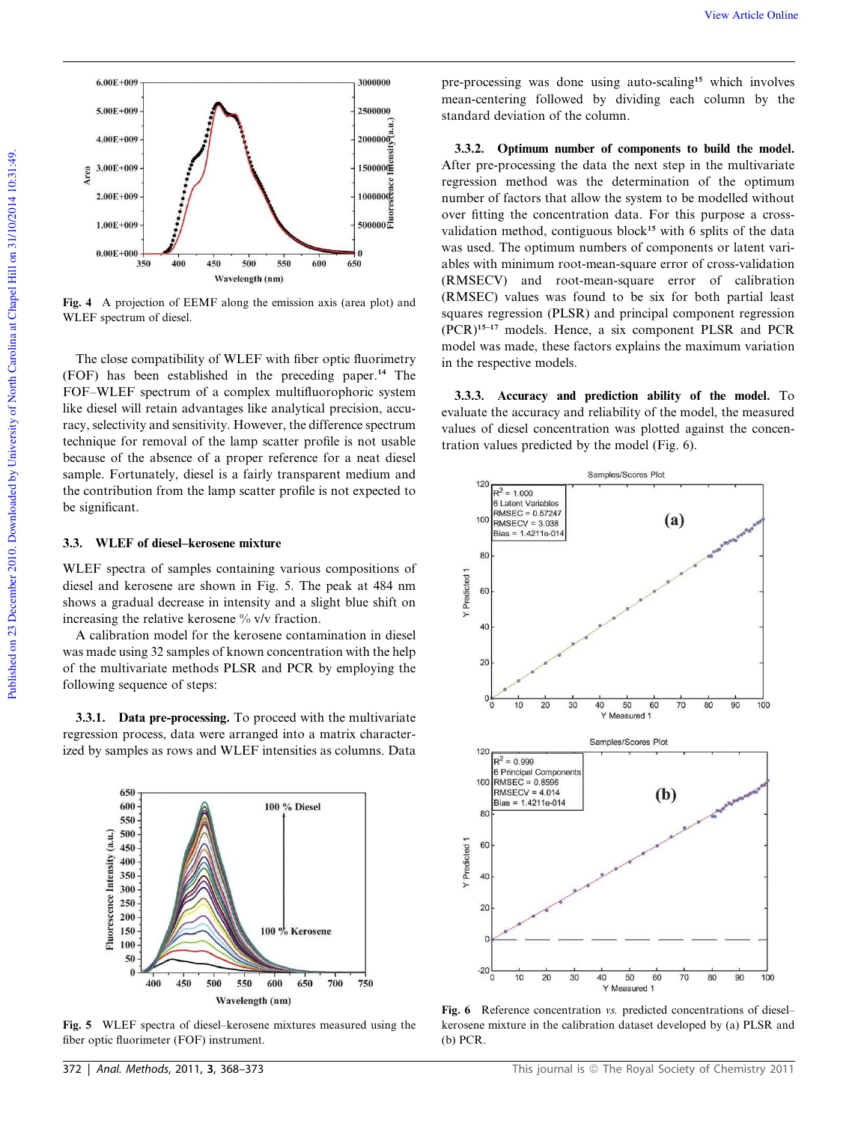

Fig. 4 A projection of EEMF along the emission axis (area plot) and WLEF spectrum of diesel.

The close compatibility of WLEF with fiber optic fluorimetry (FOF) has been established in the preceding paper.<sup>14</sup> The FOF–WLEF spectrum of a complex multifluorophoric system like diesel will retain advantages like analytical precision, accuracy, selectivity and sensitivity. However, the difference spectrum technique for removal of the lamp scatter profile is not usable because of the absence of a proper reference for a neat diesel sample. Fortunately, diesel is a fairly transparent medium and the contribution from the lamp scatter profile is not expected to be significant.

#### 3.3. WLEF of diesel–kerosene mixture

WLEF spectra of samples containing various compositions of diesel and kerosene are shown in Fig. 5. The peak at 484 nm shows a gradual decrease in intensity and a slight blue shift on increasing the relative kerosene % v/v fraction.

A calibration model for the kerosene contamination in diesel was made using 32 samples of known concentration with the help of the multivariate methods PLSR and PCR by employing the following sequence of steps:

3.3.1. Data pre-processing. To proceed with the multivariate regression process, data were arranged into a matrix characterized by samples as rows and WLEF intensities as columns. Data



Fig. 5 WLEF spectra of diesel–kerosene mixtures measured using the fiber optic fluorimeter (FOF) instrument.

pre-processing was done using auto-scaling<sup>15</sup> which involves mean-centering followed by dividing each column by the standard deviation of the column.

3.3.2. Optimum number of components to build the model. After pre-processing the data the next step in the multivariate regression method was the determination of the optimum number of factors that allow the system to be modelled without over fitting the concentration data. For this purpose a crossvalidation method, contiguous block<sup>15</sup> with 6 splits of the data was used. The optimum numbers of components or latent variables with minimum root-mean-square error of cross-validation (RMSECV) and root-mean-square error of calibration (RMSEC) values was found to be six for both partial least squares regression (PLSR) and principal component regression (PCR)15–17 models. Hence, a six component PLSR and PCR model was made, these factors explains the maximum variation in the respective models.

3.3.3. Accuracy and prediction ability of the model. To evaluate the accuracy and reliability of the model, the measured values of diesel concentration was plotted against the concentration values predicted by the model (Fig. 6).



Fig. 6 Reference concentration *vs.* predicted concentrations of dieselkerosene mixture in the calibration dataset developed by (a) PLSR and (b) PCR.